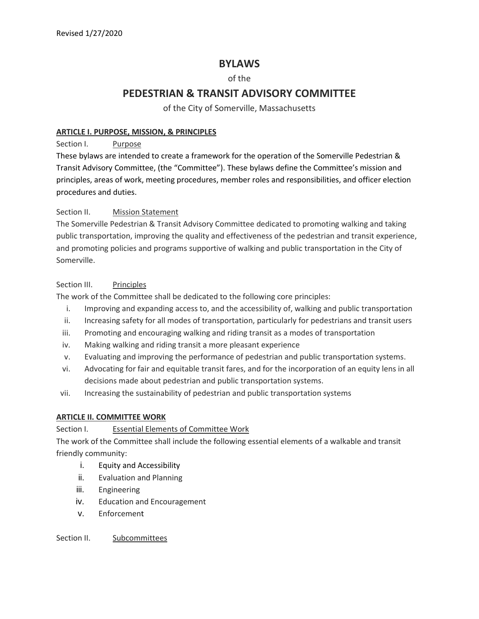## **BYLAWS**

## of the

# **PEDESTRIAN & TRANSIT ADVISORY COMMITTEE**

of the City of Somerville, Massachusetts

#### **ARTICLE I. PURPOSE, MISSION, & PRINCIPLES**

Section I. Purpose

These bylaws are intended to create a framework for the operation of the Somerville Pedestrian & Transit Advisory Committee, (the "Committee"). These bylaws define the Committee's mission and principles, areas of work, meeting procedures, member roles and responsibilities, and officer election procedures and duties.

#### Section II. Mission Statement

The Somerville Pedestrian & Transit Advisory Committee dedicated to promoting walking and taking public transportation, improving the quality and effectiveness of the pedestrian and transit experience, and promoting policies and programs supportive of walking and public transportation in the City of Somerville.

#### Section III. Principles

The work of the Committee shall be dedicated to the following core principles:

- i. Improving and expanding access to, and the accessibility of, walking and public transportation
- ii. Increasing safety for all modes of transportation, particularly for pedestrians and transit users
- iii. Promoting and encouraging walking and riding transit as a modes of transportation
- iv. Making walking and riding transit a more pleasant experience
- v. Evaluating and improving the performance of pedestrian and public transportation systems.
- vi. Advocating for fair and equitable transit fares, and for the incorporation of an equity lens in all decisions made about pedestrian and public transportation systems.
- vii. Increasing the sustainability of pedestrian and public transportation systems

## **ARTICLE II. COMMITTEE WORK**

## Section I. **Essential Elements of Committee Work**

The work of the Committee shall include the following essential elements of a walkable and transit friendly community:

- i. Equity and Accessibility
- ii. Evaluation and Planning
- iii. Engineering
- iv. Education and Encouragement
- v. Enforcement

Section II. Subcommittees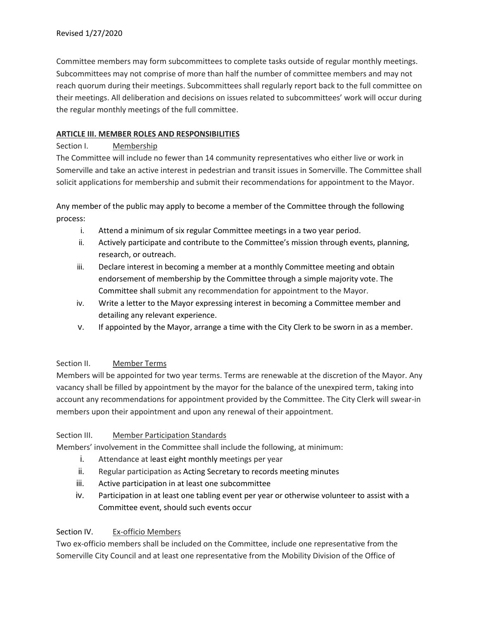Committee members may form subcommittees to complete tasks outside of regular monthly meetings. Subcommittees may not comprise of more than half the number of committee members and may not reach quorum during their meetings. Subcommittees shall regularly report back to the full committee on their meetings. All deliberation and decisions on issues related to subcommittees' work will occur during the regular monthly meetings of the full committee.

#### **ARTICLE III. MEMBER ROLES AND RESPONSIBILITIES**

#### Section I. Membership

The Committee will include no fewer than 14 community representatives who either live or work in Somerville and take an active interest in pedestrian and transit issues in Somerville. The Committee shall solicit applications for membership and submit their recommendations for appointment to the Mayor.

Any member of the public may apply to become a member of the Committee through the following process:

- i. Attend a minimum of six regular Committee meetings in a two year period.
- ii. Actively participate and contribute to the Committee's mission through events, planning, research, or outreach.
- iii. Declare interest in becoming a member at a monthly Committee meeting and obtain endorsement of membership by the Committee through a simple majority vote. The Committee shall submit any recommendation for appointment to the Mayor.
- iv. Write a letter to the Mayor expressing interest in becoming a Committee member and detailing any relevant experience.
- v. If appointed by the Mayor, arrange a time with the City Clerk to be sworn in as a member.

## Section II. Member Terms

Members will be appointed for two year terms. Terms are renewable at the discretion of the Mayor. Any vacancy shall be filled by appointment by the mayor for the balance of the unexpired term, taking into account any recommendations for appointment provided by the Committee. The City Clerk will swear-in members upon their appointment and upon any renewal of their appointment.

#### Section III. Member Participation Standards

Members' involvement in the Committee shall include the following, at minimum:

- i. Attendance at least eight monthly meetings per year
- ii. Regular participation as Acting Secretary to records meeting minutes
- iii. Active participation in at least one subcommittee
- iv. Participation in at least one tabling event per year or otherwise volunteer to assist with a Committee event, should such events occur

## Section IV. Ex-officio Members

Two ex-officio members shall be included on the Committee, include one representative from the Somerville City Council and at least one representative from the Mobility Division of the Office of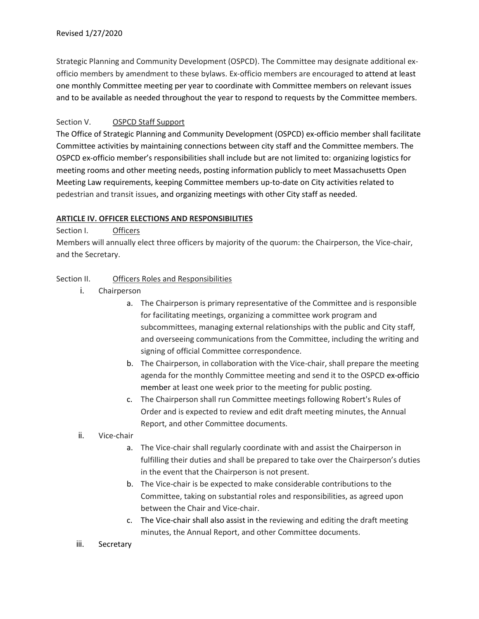Strategic Planning and Community Development (OSPCD). The Committee may designate additional exofficio members by amendment to these bylaws. Ex-officio members are encouraged to attend at least one monthly Committee meeting per year to coordinate with Committee members on relevant issues and to be available as needed throughout the year to respond to requests by the Committee members.

#### Section V. OSPCD Staff Support

The Office of Strategic Planning and Community Development (OSPCD) ex-officio member shall facilitate Committee activities by maintaining connections between city staff and the Committee members. The OSPCD ex-officio member's responsibilities shall include but are not limited to: organizing logistics for meeting rooms and other meeting needs, posting information publicly to meet Massachusetts Open Meeting Law requirements, keeping Committee members up-to-date on City activities related to pedestrian and transit issues, and organizing meetings with other City staff as needed.

#### **ARTICLE IV. OFFICER ELECTIONS AND RESPONSIBILITIES**

Section I. Officers

Members will annually elect three officers by majority of the quorum: the Chairperson, the Vice-chair, and the Secretary.

#### Section II. Officers Roles and Responsibilities

- i. Chairperson
	- a. The Chairperson is primary representative of the Committee and is responsible for facilitating meetings, organizing a committee work program and subcommittees, managing external relationships with the public and City staff, and overseeing communications from the Committee, including the writing and signing of official Committee correspondence.
	- b. The Chairperson, in collaboration with the Vice-chair, shall prepare the meeting agenda for the monthly Committee meeting and send it to the OSPCD ex-officio member at least one week prior to the meeting for public posting.
	- c. The Chairperson shall run Committee meetings following Robert's Rules of Order and is expected to review and edit draft meeting minutes, the Annual Report, and other Committee documents.
- ii. Vice-chair
	- a. The Vice-chair shall regularly coordinate with and assist the Chairperson in fulfilling their duties and shall be prepared to take over the Chairperson's duties in the event that the Chairperson is not present.
	- b. The Vice-chair is be expected to make considerable contributions to the Committee, taking on substantial roles and responsibilities, as agreed upon between the Chair and Vice-chair.
	- c. The Vice-chair shall also assist in the reviewing and editing the draft meeting minutes, the Annual Report, and other Committee documents.
- iii. Secretary